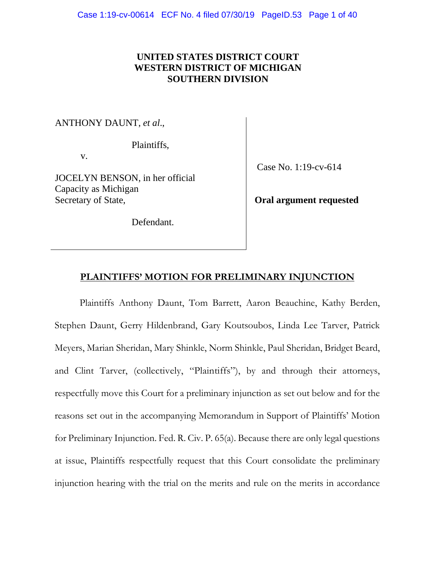### **UNITED STATES DISTRICT COURT WESTERN DISTRICT OF MICHIGAN SOUTHERN DIVISION**

ANTHONY DAUNT, *et al*.,

Plaintiffs,

v.

JOCELYN BENSON, in her official Capacity as Michigan Secretary of State,

Defendant.

Case No. 1:19-cv-614

**Oral argument requested** 

### **PLAINTIFFS' MOTION FOR PRELIMINARY INJUNCTION**

Plaintiffs Anthony Daunt, Tom Barrett, Aaron Beauchine, Kathy Berden, Stephen Daunt, Gerry Hildenbrand, Gary Koutsoubos, Linda Lee Tarver, Patrick Meyers, Marian Sheridan, Mary Shinkle, Norm Shinkle, Paul Sheridan, Bridget Beard, and Clint Tarver, (collectively, "Plaintiffs"), by and through their attorneys, respectfully move this Court for a preliminary injunction as set out below and for the reasons set out in the accompanying Memorandum in Support of Plaintiffs' Motion for Preliminary Injunction. Fed. R. Civ. P. 65(a). Because there are only legal questions at issue, Plaintiffs respectfully request that this Court consolidate the preliminary injunction hearing with the trial on the merits and rule on the merits in accordance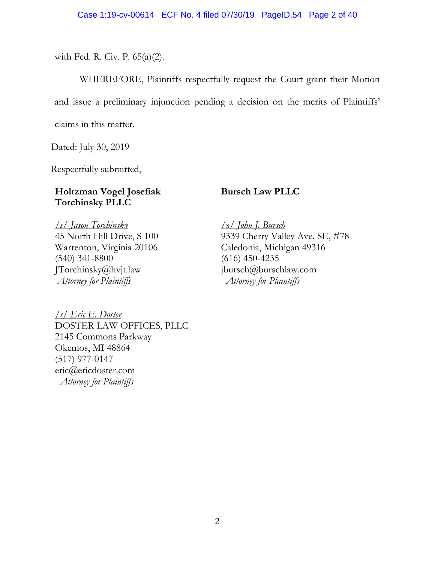with Fed. R. Civ. P. 65(a)(2).

WHEREFORE, Plaintiffs respectfully request the Court grant their Motion and issue a preliminary injunction pending a decision on the merits of Plaintiffs' claims in this matter.

Dated: July 30, 2019

Respectfully submitted,

## **Holtzman Vogel Josefiak Torchinsky PLLC**

*/s/ Jason Torchinsky*  45 North Hill Drive, S 100 Warrenton, Virginia 20106 (540) 341-8800 JTorchinsky@hvjt.law  *Attorney for Plaintiffs* 

*/s/ Eric E. Doster*  DOSTER LAW OFFICES, PLLC 2145 Commons Parkway Okemos, MI 48864 (517) 977-0147 eric@ericdoster.com *Attorney for Plaintiffs* 

## **Bursch Law PLLC**

/s/ *John J. Bursch* 9339 Cherry Valley Ave. SE, #78 Caledonia, Michigan 49316 (616) 450-4235 jbursch@burschlaw.com *Attorney for Plaintiffs*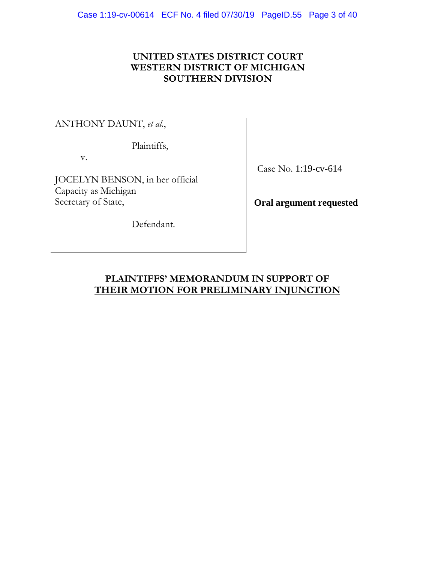### **UNITED STATES DISTRICT COURT WESTERN DISTRICT OF MICHIGAN SOUTHERN DIVISION**

ANTHONY DAUNT, *et al*.,

Plaintiffs,

v.

JOCELYN BENSON, in her official Capacity as Michigan Secretary of State,

Defendant.

Case No. 1:19-cv-614

**Oral argument requested**

## **PLAINTIFFS' MEMORANDUM IN SUPPORT OF THEIR MOTION FOR PRELIMINARY INJUNCTION**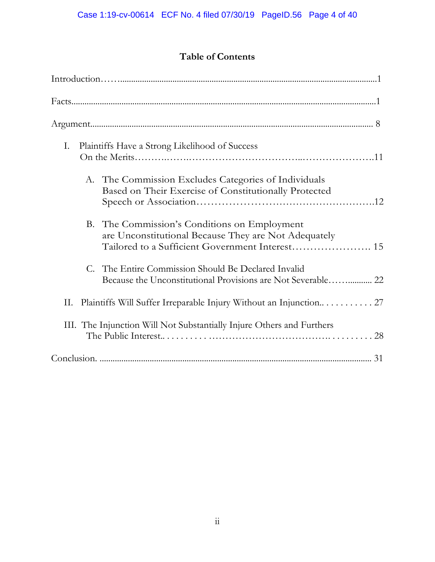# **Table of Contents**

|    |  | Facts                                                                                                                                                   |
|----|--|---------------------------------------------------------------------------------------------------------------------------------------------------------|
|    |  |                                                                                                                                                         |
| Ι. |  | Plaintiffs Have a Strong Likelihood of Success                                                                                                          |
|    |  | A. The Commission Excludes Categories of Individuals<br>Based on Their Exercise of Constitutionally Protected                                           |
|    |  | B. The Commission's Conditions on Employment<br>are Unconstitutional Because They are Not Adequately<br>Tailored to a Sufficient Government Interest 15 |
|    |  | C. The Entire Commission Should Be Declared Invalid                                                                                                     |
| П. |  | Plaintiffs Will Suffer Irreparable Injury Without an Injunction 27                                                                                      |
|    |  | III. The Injunction Will Not Substantially Injure Others and Furthers                                                                                   |
|    |  |                                                                                                                                                         |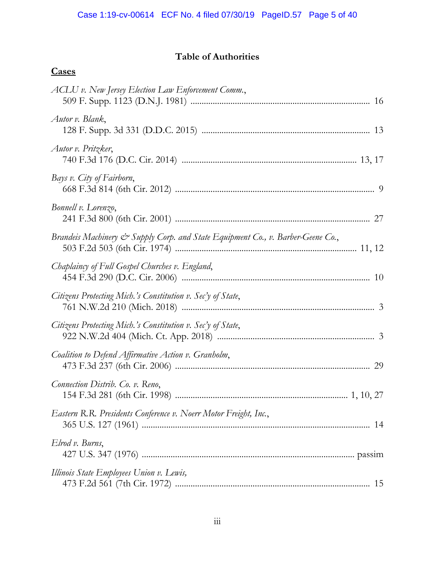## **Table of Authorities**

# **Cases**

| ACLU v. New Jersey Election Law Enforcement Comm.,                              |
|---------------------------------------------------------------------------------|
| Autor v. Blank,                                                                 |
| Autor v. Pritzker,                                                              |
| Bays v. City of Fairborn,                                                       |
| Bonnell v. Lorenzo,                                                             |
| Brandeis Machinery & Supply Corp. and State Equipment Co., v. Barber-Geene Co., |
| Chaplaincy of Full Gospel Churches v. England,                                  |
| Citizens Protecting Mich.'s Constitution v. Sec'y of State,                     |
| Citizens Protecting Mich.'s Constitution v. Sec'y of State,                     |
| Coalition to Defend Affirmative Action v. Granholm,                             |
| Connection Distrib. Co. v. Reno,                                                |
| Eastern R.R. Presidents Conference v. Noerr Motor Freight, Inc.,                |
| Elrod v. Burns,                                                                 |
| Illinois State Employees Union v. Lewis,                                        |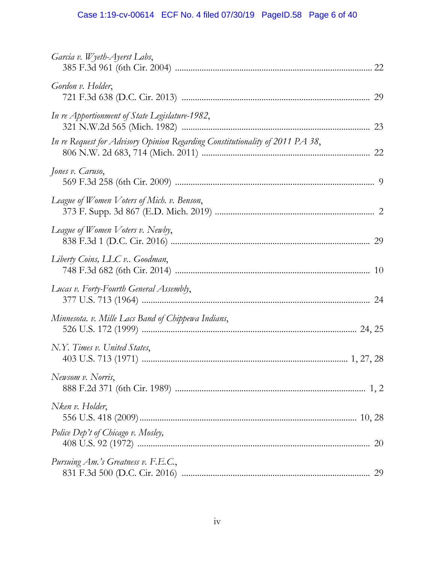## Case 1:19-cv-00614 ECF No. 4 filed 07/30/19 PageID.58 Page 6 of 40

| Garcia v. Wyeth-Ayerst Labs,                                                  |
|-------------------------------------------------------------------------------|
| Gordon v. Holder,                                                             |
| In re Apportionment of State Legislature-1982,                                |
| In re Request for Advisory Opinion Regarding Constitutionality of 2011 PA 38, |
| Jones v. Caruso,                                                              |
| League of Women Voters of Mich. v. Benson,                                    |
| League of Women Voters v. Newby,                                              |
| Liberty Coins, LLC v Goodman,                                                 |
| Lucas v. Forty-Fourth General Assembly,                                       |
| Minnesota. v. Mille Lacs Band of Chippewa Indians,                            |
| N.Y. Times v. United States,                                                  |
| Newsom v. Norris,                                                             |
| Nken v. Holder,                                                               |
| Police Dep't of Chicago v. Mosley,<br>20                                      |
| Pursuing Am.'s Greatness v. F.E.C.,                                           |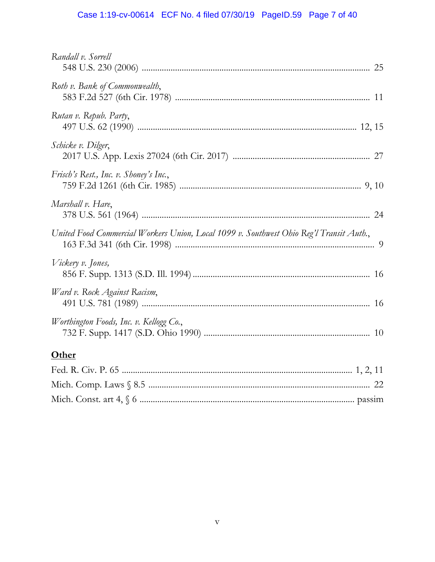## Case 1:19-cv-00614 ECF No. 4 filed 07/30/19 PageID.59 Page 7 of 40

| Randall v. Sorrell                                                                      |
|-----------------------------------------------------------------------------------------|
| Roth v. Bank of Commonwealth,                                                           |
| Rutan v. Repub. Party,                                                                  |
| Schicke v. Dilger,                                                                      |
| Frisch's Rest., Inc. v. Shoney's Inc.,                                                  |
| Marshall v. Hare,                                                                       |
| United Food Commercial Workers Union, Local 1099 v. Southwest Ohio Reg'l Transit Auth., |
| Vickery v. Jones,                                                                       |
| Ward v. Rock Against Racism,                                                            |
| Worthington Foods, Inc. v. Kellogg Co.,                                                 |
| <b>Other</b>                                                                            |
|                                                                                         |
|                                                                                         |
|                                                                                         |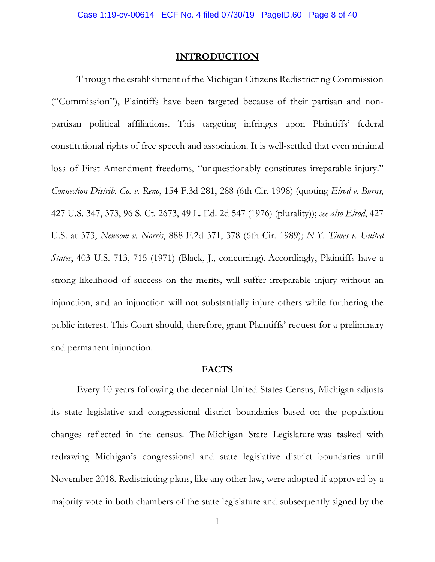#### **INTRODUCTION**

Through the establishment of the Michigan Citizens Redistricting Commission ("Commission"), Plaintiffs have been targeted because of their partisan and nonpartisan political affiliations. This targeting infringes upon Plaintiffs' federal constitutional rights of free speech and association. It is well-settled that even minimal loss of First Amendment freedoms, "unquestionably constitutes irreparable injury." *Connection Distrib. Co. v. Reno*, 154 F.3d 281, 288 (6th Cir. 1998) (quoting *Elrod v. Burns*, 427 U.S. 347, 373, 96 S. Ct. 2673, 49 L. Ed. 2d 547 (1976) (plurality)); *see also Elrod*, 427 U.S. at 373; *Newsom v. Norris*, 888 F.2d 371, 378 (6th Cir. 1989); *N.Y. Times v. United States*, 403 U.S. 713, 715 (1971) (Black, J., concurring). Accordingly, Plaintiffs have a strong likelihood of success on the merits, will suffer irreparable injury without an injunction, and an injunction will not substantially injure others while furthering the public interest. This Court should, therefore, grant Plaintiffs' request for a preliminary and permanent injunction.

#### **FACTS**

Every 10 years following the decennial United States Census, Michigan adjusts its state legislative and congressional district boundaries based on the population changes reflected in the census. The Michigan State Legislature was tasked with redrawing Michigan's congressional and state legislative district boundaries until November 2018. Redistricting plans, like any other law, were adopted if approved by a majority vote in both chambers of the state legislature and subsequently signed by the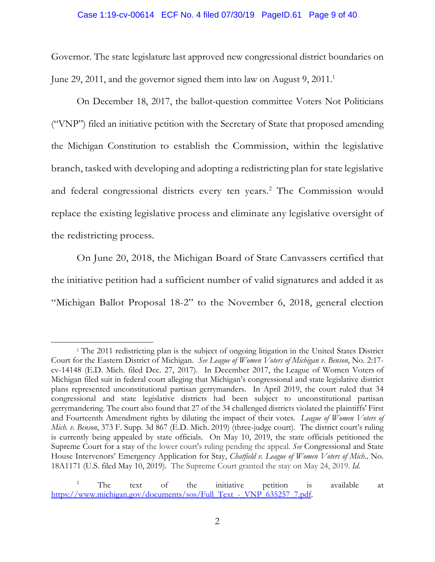#### Case 1:19-cv-00614 ECF No. 4 filed 07/30/19 PageID.61 Page 9 of 40

Governor. The state legislature last approved new congressional district boundaries on June 29, 2011, and the governor signed them into law on August 9, 2011.<sup>1</sup>

On December 18, 2017, the ballot-question committee Voters Not Politicians ("VNP") filed an initiative petition with the Secretary of State that proposed amending the Michigan Constitution to establish the Commission, within the legislative branch, tasked with developing and adopting a redistricting plan for state legislative and federal congressional districts every ten years.<sup>2</sup> The Commission would replace the existing legislative process and eliminate any legislative oversight of the redistricting process.

On June 20, 2018, the Michigan Board of State Canvassers certified that the initiative petition had a sufficient number of valid signatures and added it as "Michigan Ballot Proposal 18-2" to the November 6, 2018, general election

<sup>&</sup>lt;sup>1</sup> The 2011 redistricting plan is the subject of ongoing litigation in the United States District Court for the Eastern District of Michigan. *See League of Women Voters of Michigan v. Benson*, No. 2:17 cv-14148 (E.D. Mich. filed Dec. 27, 2017). In December 2017, the League of Women Voters of Michigan filed suit in federal court alleging that Michigan's congressional and state legislative district plans represented unconstitutional partisan gerrymanders. In April 2019, the court ruled that 34 congressional and state legislative districts had been subject to unconstitutional partisan gerrymandering. The court also found that 27 of the 34 challenged districts violated the plaintiffs' First and Fourteenth Amendment rights by diluting the impact of their votes. *League of Women Voters of Mich. v. Benson*, 373 F. Supp. 3d 867 (E.D. Mich. 2019) (three-judge court). The district court's ruling is currently being appealed by state officials. On May 10, 2019, the state officials petitioned the Supreme Court for a stay of the lower court's ruling pending the appeal. *See* Congressional and State House Intervenors' Emergency Application for Stay, *Chatfield v. League of Women Voters of Mich.,* No. 18A1171 (U.S. filed May 10, 2019). The Supreme Court granted the stay on May 24, 2019. *Id*.

 $2^2$  The text of the initiative petition is available at https://www.michigan.gov/documents/sos/Full\_Text - VNP\_635257\_7.pdf.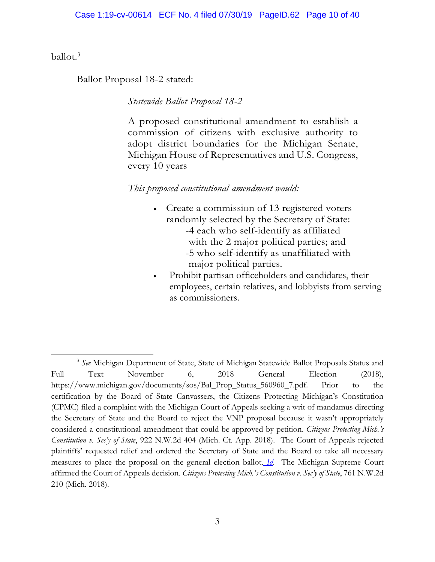ballot.<sup>3</sup>

Ballot Proposal 18-2 stated:

*Statewide Ballot Proposal 18-2* 

A proposed constitutional amendment to establish a commission of citizens with exclusive authority to adopt district boundaries for the Michigan Senate, Michigan House of Representatives and U.S. Congress, every 10 years

### *This proposed constitutional amendment would:*

- Create a commission of 13 registered voters randomly selected by the Secretary of State: -4 each who self-identify as affiliated with the 2 major political parties; and -5 who self-identify as unaffiliated with major political parties.
- Prohibit partisan officeholders and candidates, their employees, certain relatives, and lobbyists from serving as commissioners.

<sup>3</sup> *See* Michigan Department of State, State of Michigan Statewide Ballot Proposals Status and Full Text November 6, 2018 General Election (2018), https://www.michigan.gov/documents/sos/Bal\_Prop\_Status\_560960\_7.pdf. Prior to the certification by the Board of State Canvassers, the Citizens Protecting Michigan's Constitution (CPMC) filed a complaint with the Michigan Court of Appeals seeking a writ of mandamus directing the Secretary of State and the Board to reject the VNP proposal because it wasn't appropriately considered a constitutional amendment that could be approved by petition. *Citizens Protecting Mich.'s Constitution v. Sec'y of State*, 922 N.W.2d 404 (Mich. Ct. App. 2018). The Court of Appeals rejected plaintiffs' requested relief and ordered the Secretary of State and the Board to take all necessary measures to place the proposal on the general election ballot. *Id*. The Michigan Supreme Court affirmed the Court of Appeals decision. *Citizens Protecting Mich.'s Constitution v. Sec'y of State*, 761 N.W.2d 210 (Mich. 2018).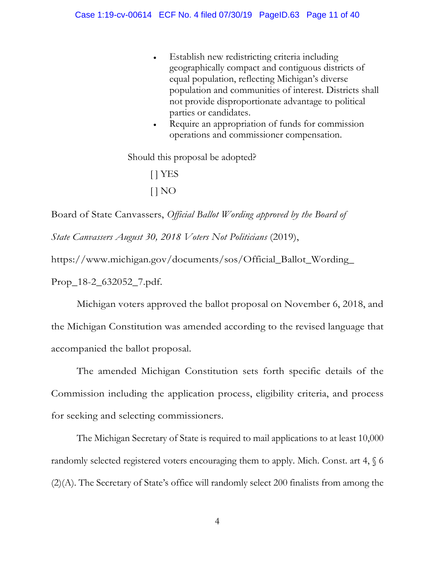- Establish new redistricting criteria including geographically compact and contiguous districts of equal population, reflecting Michigan's diverse population and communities of interest. Districts shall not provide disproportionate advantage to political parties or candidates.
- Require an appropriation of funds for commission operations and commissioner compensation.

Should this proposal be adopted? [ ] YES  $[$   $]$  NO

Board of State Canvassers, *Official Ballot Wording approved by the Board of State Canvassers August 30, 2018 Voters Not Politicians* (2019), https://www.michigan.gov/documents/sos/Official\_Ballot\_Wording\_

Prop\_18-2\_632052\_7.pdf.

Michigan voters approved the ballot proposal on November 6, 2018, and the Michigan Constitution was amended according to the revised language that accompanied the ballot proposal.

The amended Michigan Constitution sets forth specific details of the Commission including the application process, eligibility criteria, and process for seeking and selecting commissioners.

The Michigan Secretary of State is required to mail applications to at least 10,000 randomly selected registered voters encouraging them to apply. Mich. Const. art  $4, \, \text{\ensuremath{\mathbb{S}}}$  6 (2)(A). The Secretary of State's office will randomly select 200 finalists from among the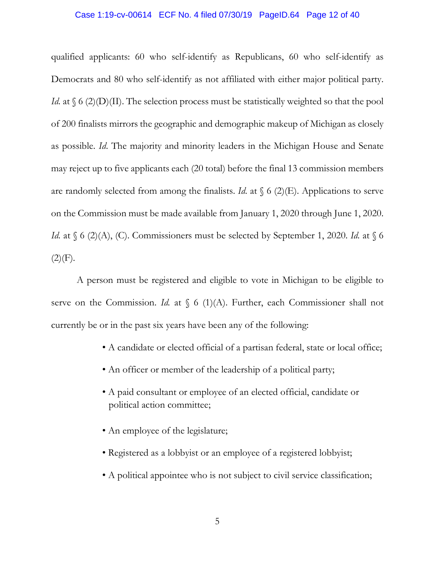#### Case 1:19-cv-00614 ECF No. 4 filed 07/30/19 PageID.64 Page 12 of 40

qualified applicants: 60 who self-identify as Republicans, 60 who self-identify as Democrats and 80 who self-identify as not affiliated with either major political party. *Id.* at  $\S$  6 (2)(D)(II). The selection process must be statistically weighted so that the pool of 200 finalists mirrors the geographic and demographic makeup of Michigan as closely as possible. *Id*. The majority and minority leaders in the Michigan House and Senate may reject up to five applicants each (20 total) before the final 13 commission members are randomly selected from among the finalists. *Id.* at  $\binom{6}{2}$ . Applications to serve on the Commission must be made available from January 1, 2020 through June 1, 2020. *Id.* at  $\{6 \ (2)(A), (C)\}$ . Commissioners must be selected by September 1, 2020. *Id.* at  $\{6 \}$  $(2)(F).$ 

A person must be registered and eligible to vote in Michigan to be eligible to serve on the Commission. *Id.* at § 6 (1)(A). Further, each Commissioner shall not currently be or in the past six years have been any of the following:

- A candidate or elected official of a partisan federal, state or local office;
- An officer or member of the leadership of a political party;
- A paid consultant or employee of an elected official, candidate or political action committee;
- An employee of the legislature;
- Registered as a lobbyist or an employee of a registered lobbyist;
- A political appointee who is not subject to civil service classification;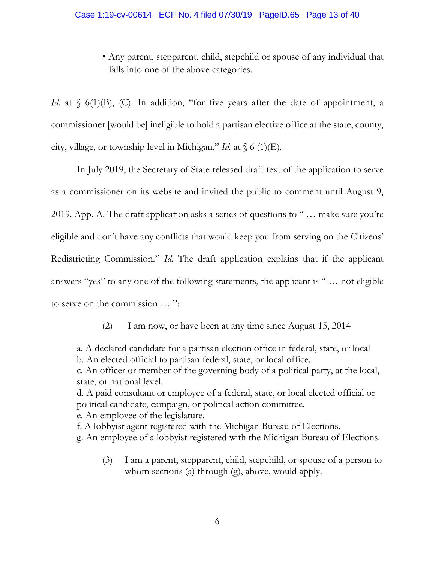#### Case 1:19-cv-00614 ECF No. 4 filed 07/30/19 PageID.65 Page 13 of 40

• Any parent, stepparent, child, stepchild or spouse of any individual that falls into one of the above categories.

*Id.* at  $\binom{6}{1}$ (B), (C). In addition, "for five years after the date of appointment, a commissioner [would be] ineligible to hold a partisan elective office at the state, county, city, village, or township level in Michigan." *Id.* at  $\sqrt{6}$  (1)(E).

In July 2019, the Secretary of State released draft text of the application to serve as a commissioner on its website and invited the public to comment until August 9, 2019. App. A. The draft application asks a series of questions to " … make sure you're eligible and don't have any conflicts that would keep you from serving on the Citizens' Redistricting Commission." *Id.* The draft application explains that if the applicant answers "yes" to any one of the following statements, the applicant is " … not eligible to serve on the commission … ":

(2) I am now, or have been at any time since August 15, 2014

a. A declared candidate for a partisan election office in federal, state, or local b. An elected official to partisan federal, state, or local office.

c. An officer or member of the governing body of a political party, at the local, state, or national level.

d. A paid consultant or employee of a federal, state, or local elected official or political candidate, campaign, or political action committee.

e. An employee of the legislature.

f. A lobbyist agent registered with the Michigan Bureau of Elections.

g. An employee of a lobbyist registered with the Michigan Bureau of Elections.

(3) I am a parent, stepparent, child, stepchild, or spouse of a person to whom sections (a) through (g), above, would apply.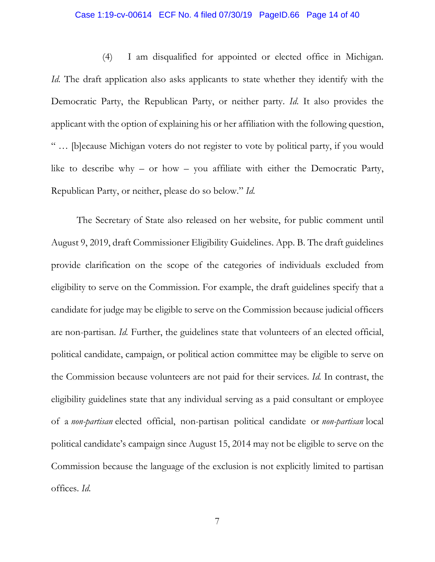### Case 1:19-cv-00614 ECF No. 4 filed 07/30/19 PageID.66 Page 14 of 40

(4) I am disqualified for appointed or elected office in Michigan. *Id.* The draft application also asks applicants to state whether they identify with the Democratic Party, the Republican Party, or neither party. *Id*. It also provides the applicant with the option of explaining his or her affiliation with the following question, " … [b]ecause Michigan voters do not register to vote by political party, if you would like to describe why – or how – you affiliate with either the Democratic Party, Republican Party, or neither, please do so below." *Id.* 

The Secretary of State also released on her website, for public comment until August 9, 2019, draft Commissioner Eligibility Guidelines. App. B. The draft guidelines provide clarification on the scope of the categories of individuals excluded from eligibility to serve on the Commission. For example, the draft guidelines specify that a candidate for judge may be eligible to serve on the Commission because judicial officers are non-partisan. *Id.* Further, the guidelines state that volunteers of an elected official, political candidate, campaign, or political action committee may be eligible to serve on the Commission because volunteers are not paid for their services. *Id.* In contrast, the eligibility guidelines state that any individual serving as a paid consultant or employee of a *non-partisan* elected official, non-partisan political candidate or *non-partisan* local political candidate's campaign since August 15, 2014 may not be eligible to serve on the Commission because the language of the exclusion is not explicitly limited to partisan offices. *Id.*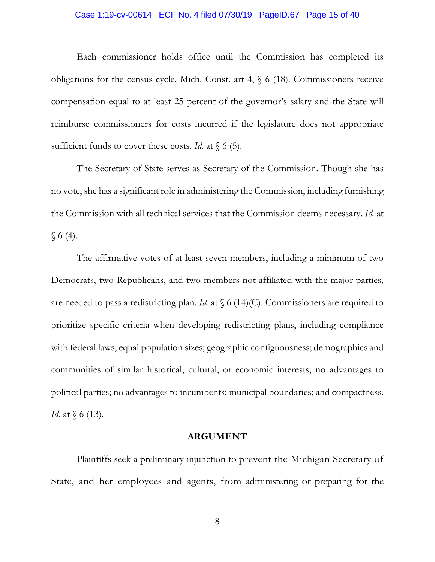#### Case 1:19-cv-00614 ECF No. 4 filed 07/30/19 PageID.67 Page 15 of 40

Each commissioner holds office until the Commission has completed its obligations for the census cycle. Mich. Const. art 4, § 6 (18). Commissioners receive compensation equal to at least 25 percent of the governor's salary and the State will reimburse commissioners for costs incurred if the legislature does not appropriate sufficient funds to cover these costs. *Id.* at  $\{6\}$ .

The Secretary of State serves as Secretary of the Commission. Though she has no vote, she has a significant role in administering the Commission, including furnishing the Commission with all technical services that the Commission deems necessary. *Id.* at  $§ 6(4).$ 

The affirmative votes of at least seven members, including a minimum of two Democrats, two Republicans, and two members not affiliated with the major parties, are needed to pass a redistricting plan. *Id.* at  $\int$  6 (14)(C). Commissioners are required to prioritize specific criteria when developing redistricting plans, including compliance with federal laws; equal population sizes; geographic contiguousness; demographics and communities of similar historical, cultural, or economic interests; no advantages to political parties; no advantages to incumbents; municipal boundaries; and compactness. *Id.* at  $\{6 (13)$ .

#### **ARGUMENT**

Plaintiffs seek a preliminary injunction to prevent the Michigan Secretary of State, and her employees and agents, from administering or preparing for the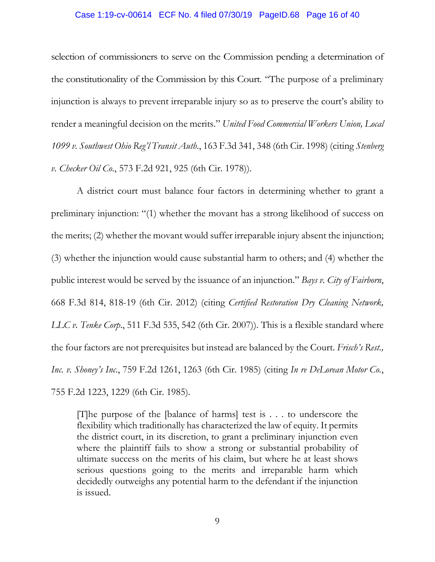#### Case 1:19-cv-00614 ECF No. 4 filed 07/30/19 PageID.68 Page 16 of 40

selection of commissioners to serve on the Commission pending a determination of the constitutionality of the Commission by this Court. "The purpose of a preliminary injunction is always to prevent irreparable injury so as to preserve the court's ability to render a meaningful decision on the merits." *United Food Commercial Workers Union, Local 1099 v. Southwest Ohio Reg'l Transit Auth*., 163 F.3d 341, 348 (6th Cir. 1998) (citing *Stenberg v. Checker Oil Co*., 573 F.2d 921, 925 (6th Cir. 1978)).

A district court must balance four factors in determining whether to grant a preliminary injunction: "(1) whether the movant has a strong likelihood of success on the merits; (2) whether the movant would suffer irreparable injury absent the injunction; (3) whether the injunction would cause substantial harm to others; and (4) whether the public interest would be served by the issuance of an injunction." *Bays v. City of Fairborn*, 668 F.3d 814, 818-19 (6th Cir. 2012) (citing *Certified Restoration Dry Cleaning Network, LLC v. Tenke Corp.*, 511 F.3d 535, 542 (6th Cir. 2007)). This is a flexible standard where the four factors are not prerequisites but instead are balanced by the Court. *Frisch's Rest., Inc. v. Shoney's Inc*., 759 F.2d 1261, 1263 (6th Cir. 1985) (citing *In re DeLorean Motor Co.*, 755 F.2d 1223, 1229 (6th Cir. 1985).

[T]he purpose of the [balance of harms] test is . . . to underscore the flexibility which traditionally has characterized the law of equity. It permits the district court, in its discretion, to grant a preliminary injunction even where the plaintiff fails to show a strong or substantial probability of ultimate success on the merits of his claim, but where he at least shows serious questions going to the merits and irreparable harm which decidedly outweighs any potential harm to the defendant if the injunction is issued.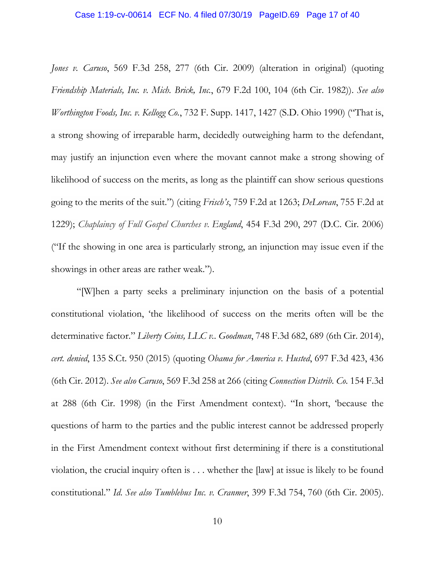*Jones v. Caruso*, 569 F.3d 258, 277 (6th Cir. 2009) (alteration in original) (quoting *Friendship Materials, Inc. v. Mich. Brick, Inc.*, 679 F.2d 100, 104 (6th Cir. 1982)). *See also Worthington Foods, Inc. v. Kellogg Co.*, 732 F. Supp. 1417, 1427 (S.D. Ohio 1990) ("That is, a strong showing of irreparable harm, decidedly outweighing harm to the defendant, may justify an injunction even where the movant cannot make a strong showing of likelihood of success on the merits, as long as the plaintiff can show serious questions going to the merits of the suit.") (citing *Frisch's*, 759 F.2d at 1263; *DeLorean*, 755 F.2d at 1229); *Chaplaincy of Full Gospel Churches v. England*, 454 F.3d 290, 297 (D.C. Cir. 2006) ("If the showing in one area is particularly strong, an injunction may issue even if the showings in other areas are rather weak.").

"[W]hen a party seeks a preliminary injunction on the basis of a potential constitutional violation, 'the likelihood of success on the merits often will be the determinative factor." *Liberty Coins, LLC v.. Goodman*, 748 F.3d 682, 689 (6th Cir. 2014), *cert. denied*, 135 S.Ct. 950 (2015) (quoting *Obama for America v. Husted*, 697 F.3d 423, 436 (6th Cir. 2012). *See also Caruso*, 569 F.3d 258 at 266 (citing *Connection Distrib. Co.* 154 F.3d at 288 (6th Cir. 1998) (in the First Amendment context). "In short, 'because the questions of harm to the parties and the public interest cannot be addressed properly in the First Amendment context without first determining if there is a constitutional violation, the crucial inquiry often is . . . whether the [law] at issue is likely to be found constitutional." *Id*. *See also Tumblebus Inc. v. Cranmer*, 399 F.3d 754, 760 (6th Cir. 2005).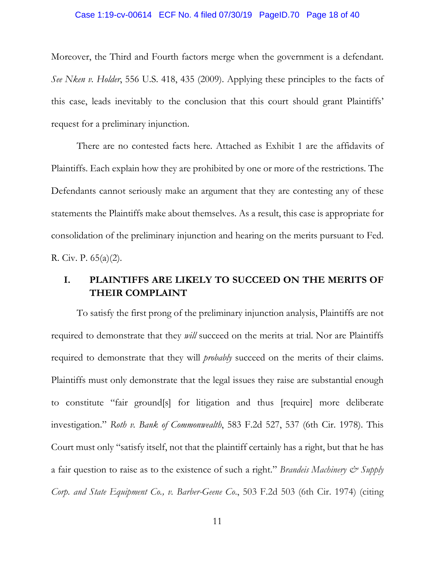### Case 1:19-cv-00614 ECF No. 4 filed 07/30/19 PageID.70 Page 18 of 40

Moreover, the Third and Fourth factors merge when the government is a defendant. *See Nken v. Holder*, 556 U.S. 418, 435 (2009). Applying these principles to the facts of this case, leads inevitably to the conclusion that this court should grant Plaintiffs' request for a preliminary injunction.

There are no contested facts here. Attached as Exhibit 1 are the affidavits of Plaintiffs. Each explain how they are prohibited by one or more of the restrictions. The Defendants cannot seriously make an argument that they are contesting any of these statements the Plaintiffs make about themselves. As a result, this case is appropriate for consolidation of the preliminary injunction and hearing on the merits pursuant to Fed. R. Civ. P. 65(a)(2).

### **I. PLAINTIFFS ARE LIKELY TO SUCCEED ON THE MERITS OF THEIR COMPLAINT**

To satisfy the first prong of the preliminary injunction analysis, Plaintiffs are not required to demonstrate that they *will* succeed on the merits at trial. Nor are Plaintiffs required to demonstrate that they will *probably* succeed on the merits of their claims. Plaintiffs must only demonstrate that the legal issues they raise are substantial enough to constitute "fair ground[s] for litigation and thus [require] more deliberate investigation." *Roth v. Bank of Commonwealth*, 583 F.2d 527, 537 (6th Cir. 1978). This Court must only "satisfy itself, not that the plaintiff certainly has a right, but that he has a fair question to raise as to the existence of such a right." *Brandeis Machinery*  $\mathcal{O}$  *Supply Corp. and State Equipment Co., v. Barber-Geene Co*., 503 F.2d 503 (6th Cir. 1974) (citing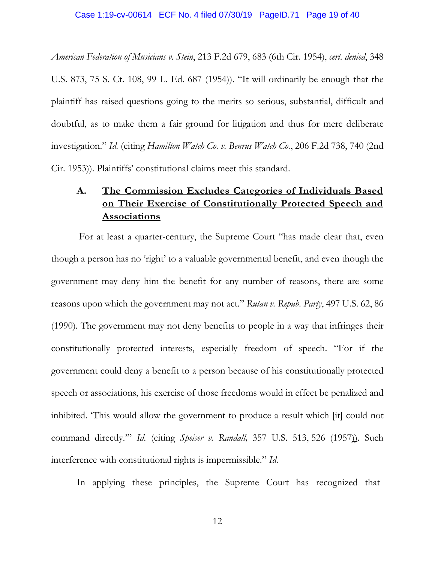*American Federation of Musicians v. Stein*, 213 F.2d 679, 683 (6th Cir. 1954), *cert. denied*, 348 U.S. 873, 75 S. Ct. 108, 99 L. Ed. 687 (1954)). "It will ordinarily be enough that the plaintiff has raised questions going to the merits so serious, substantial, difficult and doubtful, as to make them a fair ground for litigation and thus for mere deliberate investigation." *Id.* (citing *Hamilton Watch Co. v. Benrus Watch Co.*, 206 F.2d 738, 740 (2nd Cir. 1953)). Plaintiffs' constitutional claims meet this standard.

## **A. The Commission Excludes Categories of Individuals Based on Their Exercise of Constitutionally Protected Speech and Associations**

 For at least a quarter-century, the Supreme Court "has made clear that, even though a person has no 'right' to a valuable governmental benefit, and even though the government may deny him the benefit for any number of reasons, there are some reasons upon which the government may not act." *Rutan v. Repub. Party*, 497 U.S. 62, 86 (1990). The government may not deny benefits to people in a way that infringes their constitutionally protected interests, especially freedom of speech. "For if the government could deny a benefit to a person because of his constitutionally protected speech or associations, his exercise of those freedoms would in effect be penalized and inhibited. 'This would allow the government to produce a result which [it] could not command directly.'" *Id.* (citing *Speiser v. Randall,* 357 U.S. 513, 526 (1957)). Such interference with constitutional rights is impermissible." *Id*.

In applying these principles, the Supreme Court has recognized that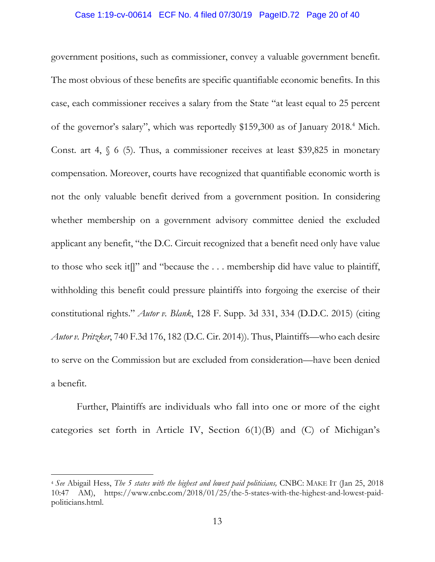#### Case 1:19-cv-00614 ECF No. 4 filed 07/30/19 PageID.72 Page 20 of 40

government positions, such as commissioner, convey a valuable government benefit. The most obvious of these benefits are specific quantifiable economic benefits. In this case, each commissioner receives a salary from the State "at least equal to 25 percent of the governor's salary", which was reportedly \$159,300 as of January 2018.<sup>4</sup> Mich. Const. art 4,  $\frac{1}{2}$  6 (5). Thus, a commissioner receives at least \$39,825 in monetary compensation. Moreover, courts have recognized that quantifiable economic worth is not the only valuable benefit derived from a government position. In considering whether membership on a government advisory committee denied the excluded applicant any benefit, "the D.C. Circuit recognized that a benefit need only have value to those who seek it[]" and "because the . . . membership did have value to plaintiff, withholding this benefit could pressure plaintiffs into forgoing the exercise of their constitutional rights." *Autor v. Blank*, 128 F. Supp. 3d 331, 334 (D.D.C. 2015) (citing *Autor v. Pritzker*, 740 F.3d 176, 182 (D.C. Cir. 2014)). Thus, Plaintiffs—who each desire to serve on the Commission but are excluded from consideration—have been denied a benefit.

Further, Plaintiffs are individuals who fall into one or more of the eight categories set forth in Article IV, Section  $6(1)(B)$  and  $(C)$  of Michigan's

<sup>4</sup> *See* Abigail Hess, *The 5 states with the highest and lowest paid politicians,* CNBC: MAKE IT (Jan 25, 2018 10:47 AM), https://www.cnbc.com/2018/01/25/the-5-states-with-the-highest-and-lowest-paidpoliticians.html.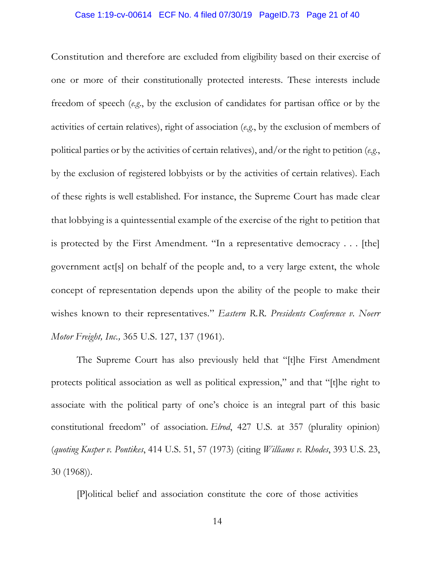### Case 1:19-cv-00614 ECF No. 4 filed 07/30/19 PageID.73 Page 21 of 40

Constitution and therefore are excluded from eligibility based on their exercise of one or more of their constitutionally protected interests. These interests include freedom of speech (*e.g*., by the exclusion of candidates for partisan office or by the activities of certain relatives), right of association (*e.g*., by the exclusion of members of political parties or by the activities of certain relatives), and/or the right to petition (*e.g*., by the exclusion of registered lobbyists or by the activities of certain relatives). Each of these rights is well established. For instance, the Supreme Court has made clear that lobbying is a quintessential example of the exercise of the right to petition that is protected by the First Amendment. "In a representative democracy . . . [the] government act[s] on behalf of the people and, to a very large extent, the whole concept of representation depends upon the ability of the people to make their wishes known to their representatives." *Eastern R.R. Presidents Conference v. Noerr Motor Freight, Inc.,* 365 U.S. 127, 137 (1961).

The Supreme Court has also previously held that "[t]he First Amendment protects political association as well as political expression," and that "[t]he right to associate with the political party of one's choice is an integral part of this basic constitutional freedom" of association. *Elrod*, 427 U.S. at 357 (plurality opinion) (*quoting Kusper v. Pontikes*, 414 U.S. 51, 57 (1973) (citing *Williams v. Rhodes*, 393 U.S. 23, 30 (1968)).

[P]olitical belief and association constitute the core of those activities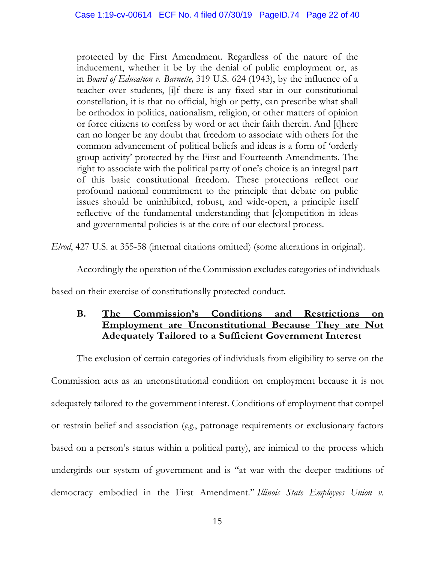protected by the First Amendment. Regardless of the nature of the inducement, whether it be by the denial of public employment or, as in *Board of Education v. Barnette,* 319 U.S. 624 (1943), by the influence of a teacher over students, [i]f there is any fixed star in our constitutional constellation, it is that no official, high or petty, can prescribe what shall be orthodox in politics, nationalism, religion, or other matters of opinion or force citizens to confess by word or act their faith therein. And [t]here can no longer be any doubt that freedom to associate with others for the common advancement of political beliefs and ideas is a form of 'orderly group activity' protected by the First and Fourteenth Amendments. The right to associate with the political party of one's choice is an integral part of this basic constitutional freedom. These protections reflect our profound national commitment to the principle that debate on public issues should be uninhibited, robust, and wide-open, a principle itself reflective of the fundamental understanding that [c]ompetition in ideas and governmental policies is at the core of our electoral process.

*Elrod*, 427 U.S. at 355-58 (internal citations omitted) (some alterations in original).

Accordingly the operation of the Commission excludes categories of individuals

based on their exercise of constitutionally protected conduct.

### **B. The Commission's Conditions and Restrictions on Employment are Unconstitutional Because They are Not Adequately Tailored to a Sufficient Government Interest**

The exclusion of certain categories of individuals from eligibility to serve on the Commission acts as an unconstitutional condition on employment because it is not adequately tailored to the government interest. Conditions of employment that compel or restrain belief and association (*e.g*., patronage requirements or exclusionary factors based on a person's status within a political party), are inimical to the process which undergirds our system of government and is "at war with the deeper traditions of democracy embodied in the First Amendment." *Illinois State Employees Union v.*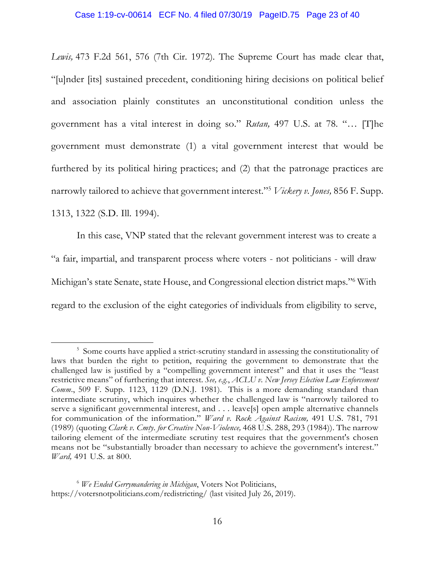*Lewis,* 473 F.2d 561, 576 (7th Cir. 1972). The Supreme Court has made clear that, "[u]nder [its] sustained precedent, conditioning hiring decisions on political belief and association plainly constitutes an unconstitutional condition unless the government has a vital interest in doing so." *Rutan,* 497 U.S. at 78*.* "… [T]he government must demonstrate (1) a vital government interest that would be furthered by its political hiring practices; and (2) that the patronage practices are narrowly tailored to achieve that government interest."<sup>5</sup> *Vickery v. Jones,* 856 F. Supp. 1313, 1322 (S.D. Ill. 1994).

In this case, VNP stated that the relevant government interest was to create a "a fair, impartial, and transparent process where voters - not politicians - will draw Michigan's state Senate, state House, and Congressional election district maps."<sup>6</sup> With regard to the exclusion of the eight categories of individuals from eligibility to serve,

<sup>&</sup>lt;sup>5</sup> Some courts have applied a strict-scrutiny standard in assessing the constitutionality of laws that burden the right to petition, requiring the government to demonstrate that the challenged law is justified by a "compelling government interest" and that it uses the "least restrictive means" of furthering that interest. *See, e.g.*, *ACLU v. New Jersey Election Law Enforcement Comm*., 509 F. Supp. 1123, 1129 (D.N.J. 1981). This is a more demanding standard than intermediate scrutiny, which inquires whether the challenged law is "narrowly tailored to serve a significant governmental interest, and . . . leave[s] open ample alternative channels for communication of the information." *Ward v. Rock Against Racism,* 491 U.S. 781, 791 (1989) (quoting *Clark v. Cmty. for Creative Non-Violence,* 468 U.S. 288, 293 (1984)). The narrow tailoring element of the intermediate scrutiny test requires that the government's chosen means not be "substantially broader than necessary to achieve the government's interest." *Ward,* 491 U.S. at 800.

<sup>6</sup> *We Ended Gerrymandering in Michigan*, Voters Not Politicians, https://votersnotpoliticians.com/redistricting/ (last visited July 26, 2019).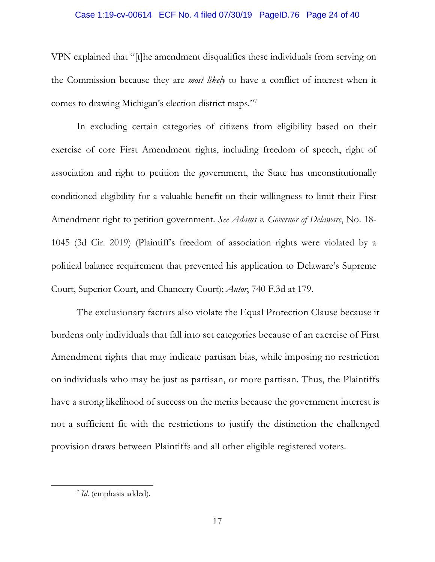### Case 1:19-cv-00614 ECF No. 4 filed 07/30/19 PageID.76 Page 24 of 40

VPN explained that "[t]he amendment disqualifies these individuals from serving on the Commission because they are *most likely* to have a conflict of interest when it comes to drawing Michigan's election district maps."<sup>7</sup>

In excluding certain categories of citizens from eligibility based on their exercise of core First Amendment rights, including freedom of speech, right of association and right to petition the government, the State has unconstitutionally conditioned eligibility for a valuable benefit on their willingness to limit their First Amendment right to petition government. *See Adams v. Governor of Delaware*, No. 18- 1045 (3d Cir. 2019) (Plaintiff's freedom of association rights were violated by a political balance requirement that prevented his application to Delaware's Supreme Court, Superior Court, and Chancery Court); *Autor*, 740 F.3d at 179.

The exclusionary factors also violate the Equal Protection Clause because it burdens only individuals that fall into set categories because of an exercise of First Amendment rights that may indicate partisan bias, while imposing no restriction on individuals who may be just as partisan, or more partisan. Thus, the Plaintiffs have a strong likelihood of success on the merits because the government interest is not a sufficient fit with the restrictions to justify the distinction the challenged provision draws between Plaintiffs and all other eligible registered voters.

<sup>7</sup> *Id*. (emphasis added).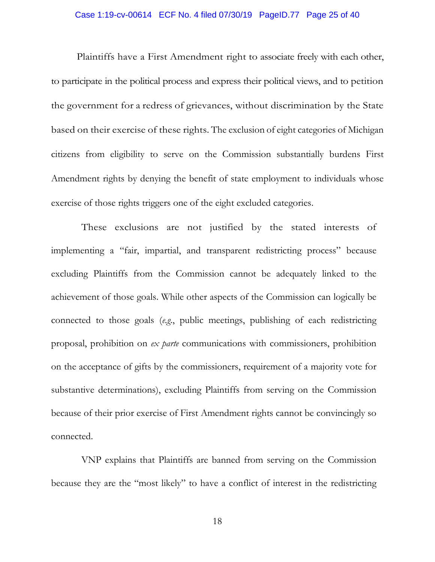#### Case 1:19-cv-00614 ECF No. 4 filed 07/30/19 PageID.77 Page 25 of 40

Plaintiffs have a First Amendment right to associate freely with each other, to participate in the political process and express their political views, and to petition the government for a redress of grievances, without discrimination by the State based on their exercise of these rights. The exclusion of eight categories of Michigan citizens from eligibility to serve on the Commission substantially burdens First Amendment rights by denying the benefit of state employment to individuals whose exercise of those rights triggers one of the eight excluded categories.

These exclusions are not justified by the stated interests of implementing a "fair, impartial, and transparent redistricting process" because excluding Plaintiffs from the Commission cannot be adequately linked to the achievement of those goals. While other aspects of the Commission can logically be connected to those goals (*e.g*., public meetings, publishing of each redistricting proposal, prohibition on *ex parte* communications with commissioners, prohibition on the acceptance of gifts by the commissioners, requirement of a majority vote for substantive determinations), excluding Plaintiffs from serving on the Commission because of their prior exercise of First Amendment rights cannot be convincingly so connected.

VNP explains that Plaintiffs are banned from serving on the Commission because they are the "most likely" to have a conflict of interest in the redistricting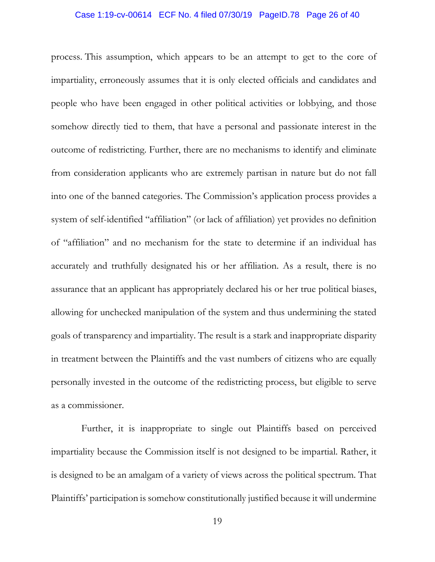#### Case 1:19-cv-00614 ECF No. 4 filed 07/30/19 PageID.78 Page 26 of 40

process. This assumption, which appears to be an attempt to get to the core of impartiality, erroneously assumes that it is only elected officials and candidates and people who have been engaged in other political activities or lobbying, and those somehow directly tied to them, that have a personal and passionate interest in the outcome of redistricting. Further, there are no mechanisms to identify and eliminate from consideration applicants who are extremely partisan in nature but do not fall into one of the banned categories. The Commission's application process provides a system of self-identified "affiliation" (or lack of affiliation) yet provides no definition of "affiliation" and no mechanism for the state to determine if an individual has accurately and truthfully designated his or her affiliation. As a result, there is no assurance that an applicant has appropriately declared his or her true political biases, allowing for unchecked manipulation of the system and thus undermining the stated goals of transparency and impartiality. The result is a stark and inappropriate disparity in treatment between the Plaintiffs and the vast numbers of citizens who are equally personally invested in the outcome of the redistricting process, but eligible to serve as a commissioner.

Further, it is inappropriate to single out Plaintiffs based on perceived impartiality because the Commission itself is not designed to be impartial. Rather, it is designed to be an amalgam of a variety of views across the political spectrum. That Plaintiffs' participation is somehow constitutionally justified because it will undermine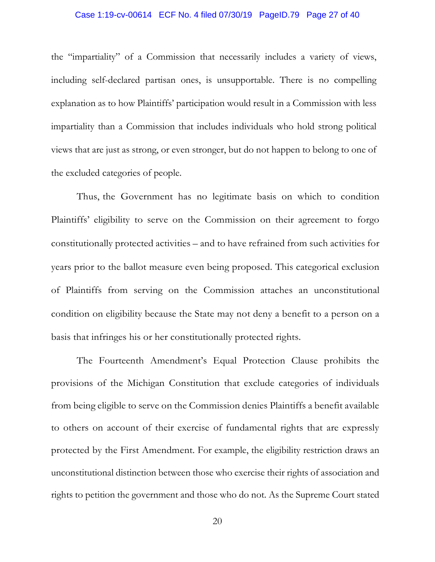#### Case 1:19-cv-00614 ECF No. 4 filed 07/30/19 PageID.79 Page 27 of 40

the "impartiality" of a Commission that necessarily includes a variety of views, including self-declared partisan ones, is unsupportable. There is no compelling explanation as to how Plaintiffs' participation would result in a Commission with less impartiality than a Commission that includes individuals who hold strong political views that are just as strong, or even stronger, but do not happen to belong to one of the excluded categories of people.

Thus, the Government has no legitimate basis on which to condition Plaintiffs' eligibility to serve on the Commission on their agreement to forgo constitutionally protected activities – and to have refrained from such activities for years prior to the ballot measure even being proposed. This categorical exclusion of Plaintiffs from serving on the Commission attaches an unconstitutional condition on eligibility because the State may not deny a benefit to a person on a basis that infringes his or her constitutionally protected rights.

The Fourteenth Amendment's Equal Protection Clause prohibits the provisions of the Michigan Constitution that exclude categories of individuals from being eligible to serve on the Commission denies Plaintiffs a benefit available to others on account of their exercise of fundamental rights that are expressly protected by the First Amendment. For example, the eligibility restriction draws an unconstitutional distinction between those who exercise their rights of association and rights to petition the government and those who do not. As the Supreme Court stated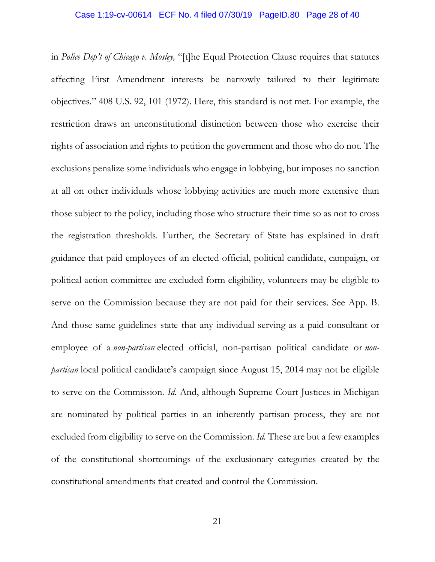### Case 1:19-cv-00614 ECF No. 4 filed 07/30/19 PageID.80 Page 28 of 40

in *Police Dep't of Chicago v. Mosley,* "[t]he Equal Protection Clause requires that statutes affecting First Amendment interests be narrowly tailored to their legitimate objectives." 408 U.S. 92, 101 (1972). Here, this standard is not met. For example, the restriction draws an unconstitutional distinction between those who exercise their rights of association and rights to petition the government and those who do not. The exclusions penalize some individuals who engage in lobbying, but imposes no sanction at all on other individuals whose lobbying activities are much more extensive than those subject to the policy, including those who structure their time so as not to cross the registration thresholds. Further, the Secretary of State has explained in draft guidance that paid employees of an elected official, political candidate, campaign, or political action committee are excluded form eligibility, volunteers may be eligible to serve on the Commission because they are not paid for their services. See App. B. And those same guidelines state that any individual serving as a paid consultant or employee of a *non-partisan* elected official, non-partisan political candidate or *nonpartisan* local political candidate's campaign since August 15, 2014 may not be eligible to serve on the Commission. *Id.* And, although Supreme Court Justices in Michigan are nominated by political parties in an inherently partisan process, they are not excluded from eligibility to serve on the Commission. *Id.* These are but a few examples of the constitutional shortcomings of the exclusionary categories created by the constitutional amendments that created and control the Commission.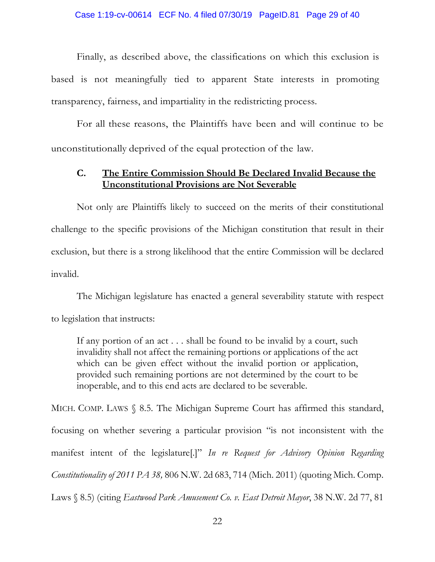Finally, as described above, the classifications on which this exclusion is based is not meaningfully tied to apparent State interests in promoting transparency, fairness, and impartiality in the redistricting process.

For all these reasons, the Plaintiffs have been and will continue to be unconstitutionally deprived of the equal protection of the law.

### **C. The Entire Commission Should Be Declared Invalid Because the Unconstitutional Provisions are Not Severable**

Not only are Plaintiffs likely to succeed on the merits of their constitutional challenge to the specific provisions of the Michigan constitution that result in their exclusion, but there is a strong likelihood that the entire Commission will be declared invalid.

The Michigan legislature has enacted a general severability statute with respect to legislation that instructs:

If any portion of an act . . . shall be found to be invalid by a court, such invalidity shall not affect the remaining portions or applications of the act which can be given effect without the invalid portion or application, provided such remaining portions are not determined by the court to be inoperable, and to this end acts are declared to be severable.

MICH. COMP. LAWS § 8.5. The Michigan Supreme Court has affirmed this standard, focusing on whether severing a particular provision "is not inconsistent with the manifest intent of the legislature[.]" *In re Request for Advisory Opinion Regarding Constitutionality of 2011 PA 38,* 806 N.W. 2d 683, 714 (Mich. 2011) (quoting Mich. Comp. Laws § 8.5) (citing *Eastwood Park Amusement Co. v. East Detroit Mayor*, 38 N.W. 2d 77, 81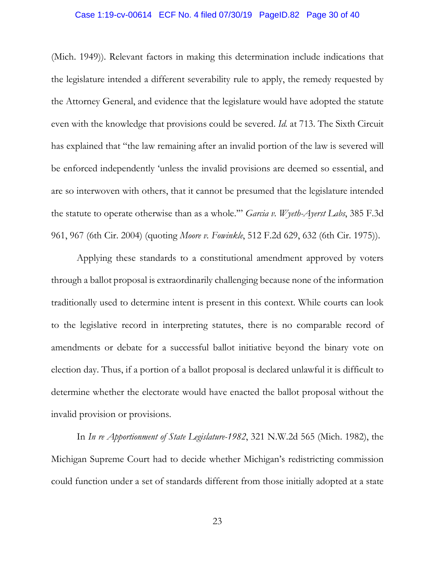### Case 1:19-cv-00614 ECF No. 4 filed 07/30/19 PageID.82 Page 30 of 40

(Mich. 1949)). Relevant factors in making this determination include indications that the legislature intended a different severability rule to apply, the remedy requested by the Attorney General, and evidence that the legislature would have adopted the statute even with the knowledge that provisions could be severed. *Id.* at 713. The Sixth Circuit has explained that "the law remaining after an invalid portion of the law is severed will be enforced independently 'unless the invalid provisions are deemed so essential, and are so interwoven with others, that it cannot be presumed that the legislature intended the statute to operate otherwise than as a whole.'" *Garcia v. Wyeth-Ayerst Labs*, 385 F.3d 961, 967 (6th Cir. 2004) (quoting *Moore v. Fowinkle*, 512 F.2d 629, 632 (6th Cir. 1975)).

Applying these standards to a constitutional amendment approved by voters through a ballot proposal is extraordinarily challenging because none of the information traditionally used to determine intent is present in this context. While courts can look to the legislative record in interpreting statutes, there is no comparable record of amendments or debate for a successful ballot initiative beyond the binary vote on election day. Thus, if a portion of a ballot proposal is declared unlawful it is difficult to determine whether the electorate would have enacted the ballot proposal without the invalid provision or provisions.

In *In re Apportionment of State Legislature-1982*, 321 N.W.2d 565 (Mich. 1982), the Michigan Supreme Court had to decide whether Michigan's redistricting commission could function under a set of standards different from those initially adopted at a state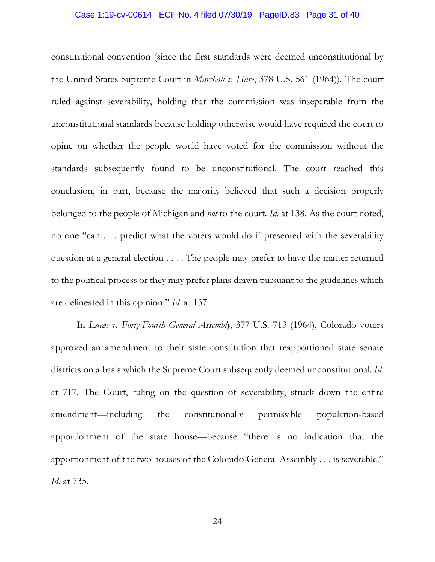### Case 1:19-cv-00614 ECF No. 4 filed 07/30/19 PageID.83 Page 31 of 40

constitutional convention (since the first standards were deemed unconstitutional by the United States Supreme Court in *Marshall v. Hare*, 378 U.S. 561 (1964)). The court ruled against severability, holding that the commission was inseparable from the unconstitutional standards because holding otherwise would have required the court to opine on whether the people would have voted for the commission without the standards subsequently found to be unconstitutional. The court reached this conclusion, in part, because the majority believed that such a decision properly belonged to the people of Michigan and *not* to the court. *Id.* at 138. As the court noted, no one "can . . . predict what the voters would do if presented with the severability question at a general election . . . . The people may prefer to have the matter returned to the political process or they may prefer plans drawn pursuant to the guidelines which are delineated in this opinion." *Id.* at 137.

In *Lucas v. Forty-Fourth General Assembly*, 377 U.S. 713 (1964), Colorado voters approved an amendment to their state constitution that reapportioned state senate districts on a basis which the Supreme Court subsequently deemed unconstitutional. *Id.* at 717. The Court, ruling on the question of severability, struck down the entire amendment—including the constitutionally permissible population-based apportionment of the state house—because "there is no indication that the apportionment of the two houses of the Colorado General Assembly . . . is severable." *Id.* at 735.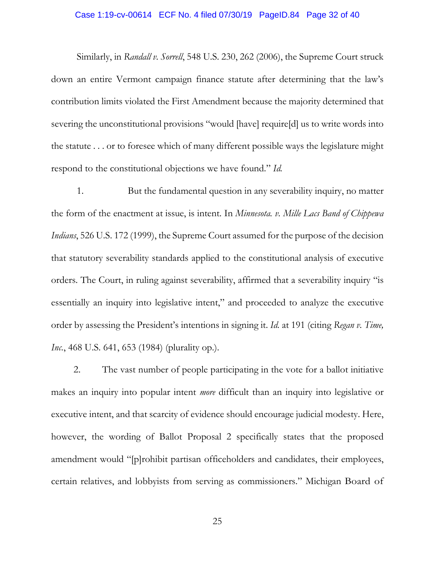### Case 1:19-cv-00614 ECF No. 4 filed 07/30/19 PageID.84 Page 32 of 40

Similarly, in *Randall v. Sorrell*, 548 U.S. 230, 262 (2006), the Supreme Court struck down an entire Vermont campaign finance statute after determining that the law's contribution limits violated the First Amendment because the majority determined that severing the unconstitutional provisions "would [have] require[d] us to write words into the statute . . . or to foresee which of many different possible ways the legislature might respond to the constitutional objections we have found." *Id.*

1. But the fundamental question in any severability inquiry, no matter the form of the enactment at issue, is intent. In *Minnesota. v. Mille Lacs Band of Chippewa Indians*, 526 U.S. 172 (1999), the Supreme Court assumed for the purpose of the decision that statutory severability standards applied to the constitutional analysis of executive orders. The Court, in ruling against severability, affirmed that a severability inquiry "is essentially an inquiry into legislative intent," and proceeded to analyze the executive order by assessing the President's intentions in signing it. *Id.* at 191 (citing *Regan v. Time, Inc.*, 468 U.S. 641, 653 (1984) (plurality op.).

2. The vast number of people participating in the vote for a ballot initiative makes an inquiry into popular intent *more* difficult than an inquiry into legislative or executive intent, and that scarcity of evidence should encourage judicial modesty. Here, however, the wording of Ballot Proposal 2 specifically states that the proposed amendment would "[p]rohibit partisan officeholders and candidates, their employees, certain relatives, and lobbyists from serving as commissioners." Michigan Board of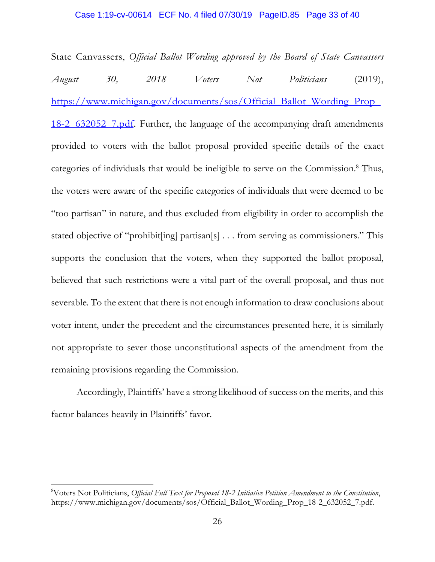### Case 1:19-cv-00614 ECF No. 4 filed 07/30/19 PageID.85 Page 33 of 40

State Canvassers, *Official Ballot Wording approved by the Board of State Canvassers August 30, 2018 Voters Not Politicians* (2019), https://www.michigan.gov/documents/sos/Official\_Ballot\_Wording\_Prop\_ 18-2\_632052\_7.pdf. Further, the language of the accompanying draft amendments provided to voters with the ballot proposal provided specific details of the exact categories of individuals that would be ineligible to serve on the Commission.<sup>8</sup> Thus, the voters were aware of the specific categories of individuals that were deemed to be "too partisan" in nature, and thus excluded from eligibility in order to accomplish the stated objective of "prohibit[ing] partisan[s] . . . from serving as commissioners." This supports the conclusion that the voters, when they supported the ballot proposal, believed that such restrictions were a vital part of the overall proposal, and thus not severable. To the extent that there is not enough information to draw conclusions about voter intent, under the precedent and the circumstances presented here, it is similarly not appropriate to sever those unconstitutional aspects of the amendment from the remaining provisions regarding the Commission.

Accordingly, Plaintiffs' have a strong likelihood of success on the merits, and this factor balances heavily in Plaintiffs' favor.

<sup>8</sup>Voters Not Politicians, *Official Full Text for Proposal 18-2 Initiative Petition Amendment to the Constitution*, https://www.michigan.gov/documents/sos/Official\_Ballot\_Wording\_Prop\_18-2\_632052\_7.pdf.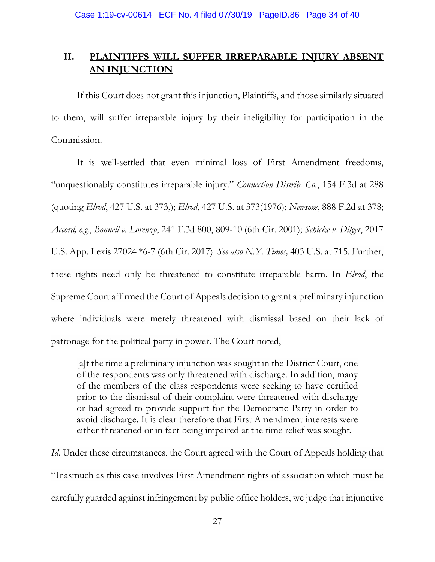## **II. PLAINTIFFS WILL SUFFER IRREPARABLE INJURY ABSENT AN INJUNCTION**

If this Court does not grant this injunction, Plaintiffs, and those similarly situated to them, will suffer irreparable injury by their ineligibility for participation in the Commission.

It is well-settled that even minimal loss of First Amendment freedoms, "unquestionably constitutes irreparable injury." *Connection Distrib. Co.*, 154 F.3d at 288 (quoting *Elrod*, 427 U.S. at 373,); *Elrod*, 427 U.S. at 373(1976); *Newsom*, 888 F.2d at 378; *Accord, e.g.*, *Bonnell v. Lorenzo*, 241 F.3d 800, 809-10 (6th Cir. 2001); *Schicke v. Dilger*, 2017 U.S. App. Lexis 27024 \*6-7 (6th Cir. 2017). *See also N.Y. Times,* 403 U.S. at 715*.* Further, these rights need only be threatened to constitute irreparable harm. In *Elrod*, the Supreme Court affirmed the Court of Appeals decision to grant a preliminary injunction where individuals were merely threatened with dismissal based on their lack of patronage for the political party in power. The Court noted,

[a]t the time a preliminary injunction was sought in the District Court, one of the respondents was only threatened with discharge. In addition, many of the members of the class respondents were seeking to have certified prior to the dismissal of their complaint were threatened with discharge or had agreed to provide support for the Democratic Party in order to avoid discharge. It is clear therefore that First Amendment interests were either threatened or in fact being impaired at the time relief was sought.

*Id*. Under these circumstances, the Court agreed with the Court of Appeals holding that "Inasmuch as this case involves First Amendment rights of association which must be carefully guarded against infringement by public office holders, we judge that injunctive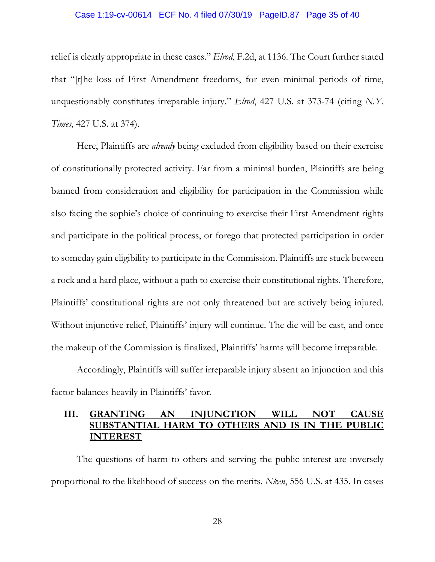#### Case 1:19-cv-00614 ECF No. 4 filed 07/30/19 PageID.87 Page 35 of 40

relief is clearly appropriate in these cases." *Elrod*, F.2d, at 1136. The Court further stated that "[t]he loss of First Amendment freedoms, for even minimal periods of time, unquestionably constitutes irreparable injury." *Elrod*, 427 U.S. at 373-74 (citing *N.Y. Times*, 427 U.S. at 374).

Here, Plaintiffs are *already* being excluded from eligibility based on their exercise of constitutionally protected activity. Far from a minimal burden, Plaintiffs are being banned from consideration and eligibility for participation in the Commission while also facing the sophie's choice of continuing to exercise their First Amendment rights and participate in the political process, or forego that protected participation in order to someday gain eligibility to participate in the Commission. Plaintiffs are stuck between a rock and a hard place, without a path to exercise their constitutional rights. Therefore, Plaintiffs' constitutional rights are not only threatened but are actively being injured. Without injunctive relief, Plaintiffs' injury will continue. The die will be cast, and once the makeup of the Commission is finalized, Plaintiffs' harms will become irreparable.

Accordingly, Plaintiffs will suffer irreparable injury absent an injunction and this factor balances heavily in Plaintiffs' favor.

### **III. GRANTING AN INJUNCTION WILL NOT SUBSTANTIAL HARM TO OTHERS AND IS IN THE PUBLIC INTEREST**

The questions of harm to others and serving the public interest are inversely proportional to the likelihood of success on the merits. *Nken*, 556 U.S. at 435. In cases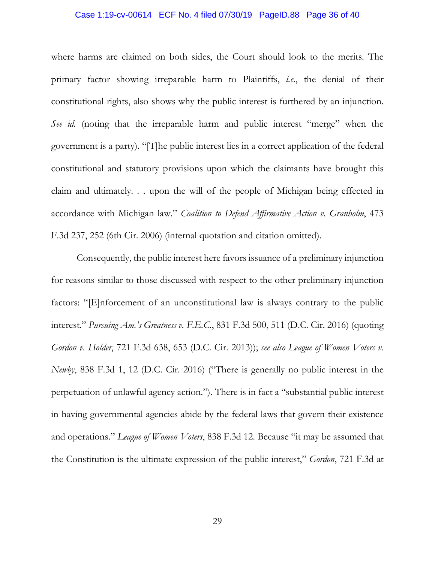#### Case 1:19-cv-00614 ECF No. 4 filed 07/30/19 PageID.88 Page 36 of 40

where harms are claimed on both sides, the Court should look to the merits. The primary factor showing irreparable harm to Plaintiffs, *i.e*., the denial of their constitutional rights, also shows why the public interest is furthered by an injunction. *See id.* (noting that the irreparable harm and public interest "merge" when the government is a party). "[T]he public interest lies in a correct application of the federal constitutional and statutory provisions upon which the claimants have brought this claim and ultimately. . . upon the will of the people of Michigan being effected in accordance with Michigan law." *Coalition to Defend Affirmative Action v. Granholm*, 473 F.3d 237, 252 (6th Cir. 2006) (internal quotation and citation omitted).

Consequently, the public interest here favors issuance of a preliminary injunction for reasons similar to those discussed with respect to the other preliminary injunction factors: "[E]nforcement of an unconstitutional law is always contrary to the public interest." *Pursuing Am.'s Greatness v. F.E.C.*, 831 F.3d 500, 511 (D.C. Cir. 2016) (quoting *Gordon v. Holder*, 721 F.3d 638, 653 (D.C. Cir. 2013)); *see also League of Women Voters v. Newby*, 838 F.3d 1, 12 (D.C. Cir. 2016) ("There is generally no public interest in the perpetuation of unlawful agency action."). There is in fact a "substantial public interest in having governmental agencies abide by the federal laws that govern their existence and operations." *League of Women Voters*, 838 F.3d 12. Because "it may be assumed that the Constitution is the ultimate expression of the public interest," *Gordon*, 721 F.3d at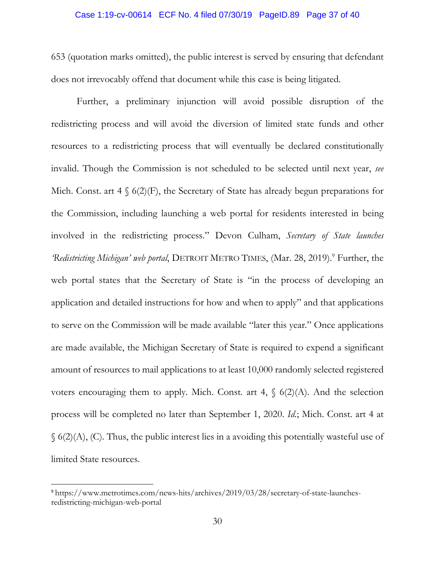### Case 1:19-cv-00614 ECF No. 4 filed 07/30/19 PageID.89 Page 37 of 40

653 (quotation marks omitted), the public interest is served by ensuring that defendant does not irrevocably offend that document while this case is being litigated.

Further, a preliminary injunction will avoid possible disruption of the redistricting process and will avoid the diversion of limited state funds and other resources to a redistricting process that will eventually be declared constitutionally invalid. Though the Commission is not scheduled to be selected until next year, *see* Mich. Const. art  $4 \S(2)(F)$ , the Secretary of State has already begun preparations for the Commission, including launching a web portal for residents interested in being involved in the redistricting process." Devon Culham, *Secretary of State launches*  Redistricting Michigan' web portal, DETROIT METRO TIMES, (Mar. 28, 2019).<sup>9</sup> Further, the web portal states that the Secretary of State is "in the process of developing an application and detailed instructions for how and when to apply" and that applications to serve on the Commission will be made available "later this year." Once applications are made available, the Michigan Secretary of State is required to expend a significant amount of resources to mail applications to at least 10,000 randomly selected registered voters encouraging them to apply. Mich. Const. art 4,  $\S$  6(2)(A). And the selection process will be completed no later than September 1, 2020. *Id.*; Mich. Const. art 4 at  $\S$  6(2)(A), (C). Thus, the public interest lies in a avoiding this potentially wasteful use of limited State resources.

<sup>9</sup> https://www.metrotimes.com/news-hits/archives/2019/03/28/secretary-of-state-launchesredistricting-michigan-web-portal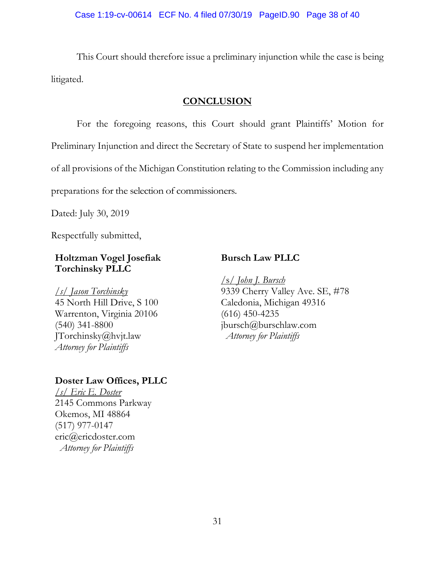This Court should therefore issue a preliminary injunction while the case is being litigated.

### **CONCLUSION**

For the foregoing reasons, this Court should grant Plaintiffs' Motion for Preliminary Injunction and direct the Secretary of State to suspend her implementation of all provisions of the Michigan Constitution relating to the Commission including any preparations for the selection of commissioners.

Dated: July 30, 2019

Respectfully submitted,

## **Holtzman Vogel Josefiak Torchinsky PLLC**

*/s/ Jason Torchinsky*  45 North Hill Drive, S 100 Warrenton, Virginia 20106 (540) 341-8800 JTorchinsky@hvjt.law *Attorney for Plaintiffs* 

## **Doster Law Offices, PLLC**

*/s/ Eric E. Doster*  2145 Commons Parkway Okemos, MI 48864 (517) 977-0147 eric@ericdoster.com *Attorney for Plaintiffs* 

### **Bursch Law PLLC**

/s/ *John J. Bursch* 9339 Cherry Valley Ave. SE, #78 Caledonia, Michigan 49316 (616) 450-4235 jbursch@burschlaw.com *Attorney for Plaintiffs*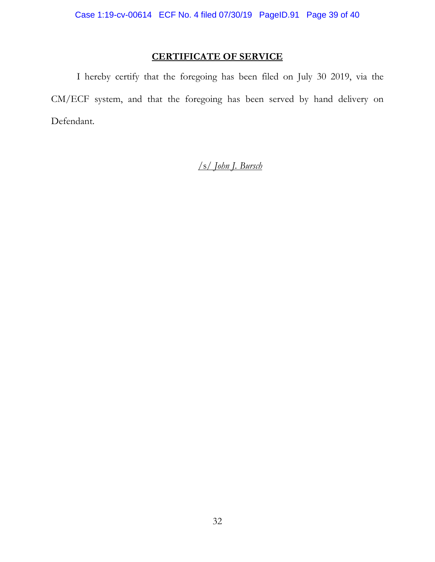## **CERTIFICATE OF SERVICE**

I hereby certify that the foregoing has been filed on July 30 2019, via the CM/ECF system, and that the foregoing has been served by hand delivery on Defendant.

## /s/ *John J. Bursch*